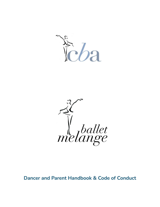

*Melange* 

**Dancer and Parent Handbook & Code of Conduct**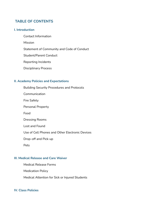# **TABLE OF CONTENTS**

#### **I. Introduction**

Contact Information

Mission

Statement of Community and Code of Conduct

Student/Parent Conduct

Reporting Incidents

Disciplinary Process

#### **II. Academy Policies and Expectations**

Building Security Procedures and Protocols

Communication

Fire Safety

Personal Property

Food

Dressing Rooms

Lost and Found

Use of Cell Phones and Other Electronic Devices

Drop-off and Pick-up

Pets

#### **III. Medical Release and Care Waiver**

Medical Release Forms Medication Policy Medical Attention for Sick or Injured Students

### **IV. Class Policies**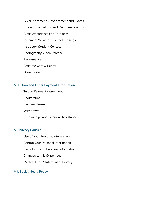Level Placement, Advancement and Exams Student Evaluations and Recommendations Class Attendance and Tardiness Inclement Weather - School Closings Instructor-Student Contact Photography/Video Release Performances Costume Care & Rental Dress Code

## **V. Tuition and Other Payment Information**

Tuition Payment Agreement Registration Payment Terms **Withdrawal** Scholarships and Financial Assistance

### **VI. Privacy Policies**

Use of your Personal Information Control your Personal Information Security of your Personal Information Changes to this Statement Medical Form Statement of Privacy

### **VII. Social Media Policy**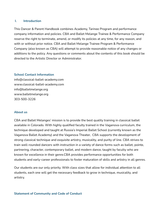#### **I. Introduction**

This Dancer & Parent Handbook combines Academy, Tarinee Program and performance company information and policies. CBA and Ballet Melange Trainee & Performance Company reserve the right to terminate, amend, or modify its policies at any time, for any reason, and with or without prior notice. CBA and Ballet Melange Trainee Program & Performance Company (also known as CBA) will attempt to provide reasonable notice of any changes or additions to the policy. Any questions or comments about the contents of this book should be directed to the Artistic Director or Administrator.

#### **School Contact Information**

info@classical-ballet-academy.com www.classical-ballet-academy.com info@balletmelange.org www.balletmelange.org 303-500-3226

### **About us**

CBA and Ballet Melanges' mission is to provide the best quality training in classical ballet available in Colorado. With highly qualified faculty trained in the Vaganova curriculum, the technique developed and taught at Russia's Imperial Ballet School (currently known as the Vaganova Ballet Academy) and the Vaganova Theater, CBA supports the development of strong classical technique and exquisite artistry, musicality, and purity of line. CBA strives to train well-rounded dancers with instruction in a variety of dance forms such as ballet, pointe, partnering, character, contemporary ballet, and modern dance, taught by faculty who are known for excellence in their genre.CBA provides performance opportunities for both students and early-career professionals to foster maturation of skills and artistry in all genres.

Our students are our only priority. With class sizes that allow for individual attention to all students, each one will get the necessary feedback to grow in technique, musicality, and artistry.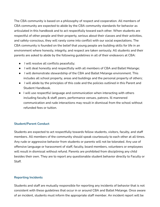The CBA community is based on a philosophy of respect and cooperation. All members of CBA community are expected to abide by the CBA community standards for behavior as articulated in this handbook and to act respectfully toward each other. When students are respectful of other people and their property, serious about their classes and their activities, and safety-conscious, they will rarely come into conflict with our social expectations. The CBA community is founded on the belief that young people are building skills for life in an environment where honesty, integrity, and respect are taken seriously. All students and their parents are asked to abide by the following guidelines in all of their endeavors at CBA:

- I will resolve all conflicts peacefully;
- I will deal honestly and respectfully with all members of CBA and Ballet Melange;
- I will demonstrate stewardship of the CBA and Ballet Melange environment. This includes all school property, areas and buildings and the personal property of others;
- I will abide by the principles of this code and the policies outlined in this Parent and Student Handbook.
- I will use respectful language and communication when interacting with others including faculty & staff, peers, performance venues, patrons. Ill mannered communication and rude interactions may result in dismissal from the school without refunded fees or tuition.

# **Student/Parent Conduct**

Students are expected to act respectfully towards fellow students, visitors, faculty, and staff members. All members of the community should speak courteously to each other at all times. Any rude or aggressive behavior from students or parents will not be tolerated. Any use of offensive language or harassment of staff, faculty, board members, volunteers or employees will result in dismissal without refund. Parents are prohibited from disciplining any child besides their own. They are to report any questionable student behavior directly to Faculty or Staff.

## **Reporting Incidents**

Students and staff are mutually responsible for reporting any incidents of behavior that is not consistent with these guidelines that occur in or around CBA and Ballet Melange. Once aware of an incident, students must inform the appropriate staff member. An incident report will be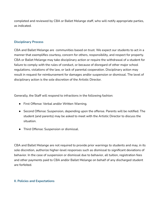completed and reviewed by CBA or Ballet Melange staff, who will notify appropriate parties, as indicated.

## **Disciplinary Process**

CBA and Ballet Melange are communities based on trust. We expect our students to act in a manner that exemplifies courtesy, concern for others, responsibility, and respect for property. CBA or Ballet Melange may take disciplinary action or require the withdrawal of a student for failure to comply with the rules of conduct, or because of disregard of other major school regulations, violations of the law, or lack of parental cooperation. Disciplinary action may result in request for reimbursement for damages and/or suspension or dismissal. The level of disciplinary action is the sole discretion of the Artistic Director.

Generally, the Staff will respond to infractions in the following fashion:

- First Offense: Verbal and/or Written Warning.
- Second Offense: Suspension, depending upon the offense. Parents will be notified. The student (and parents) may be asked to meet with the Artistic Director to discuss the situation.
- Third Offense: Suspension or dismissal.

CBA and Ballet Melange are not required to provide prior warnings to students and may, in its sole discretion, authorize higher-level responses such as dismissal to significant deviations of behavior. In the case of suspension or dismissal due to behavior, all tuition, registration fees and other payments paid to CBA and/or Ballet Melange on behalf of any discharged student are forfeited.

## **II. Policies and Expectations**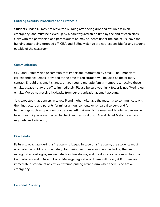### **Building Security Procedures and Protocols**

Students under 18 may not leave the building after being dropped off (unless in an emergency) and must be picked up by a parent/guardian on time by the end of each class. Only with the permission of a parent/guardian may students under the age of 18 leave the building after being dropped off. CBA and Ballet Melange are not responsible for any student outside of the classroom.

## **Communication**

CBA and Ballet Melange communicate important information by email. The "important correspondence" email provided at the time of registration will be used as the primary contact. Should this email change, or you require multiple family members to receive these emails, please notify the office immediately. Please be sure your junk folder is not filtering our emails. We do not receive kickbacks from our organizational email account.

It is expected that dancers in levels 5 and higher will have the maturity to communicate with their instructors and parents for minor announcements or rehearsal tweeks and fun happenings such as open demonstrations. All Trainees, Jr Trainees and Academy dancers in level 6 and higher are expected to check and respond to CBA and Ballet Melange emails regularly and efficiently.

### **Fire Safety**

Failure to evacuate during a fire alarm is illegal. In case of a fire alarm, the students must evacuate the building immediately. Tampering with fire equipment, including the fire extinguisher, exit signs, smoke detectors, fire alarms, and fire doors is a serious violation of Colorado law and CBA and Ballet Melange regulations. There will be a \$200.00 fine and immediate dismissal of any student found pulling a fire alarm when there is no fire or emergency.

#### **Personal Property**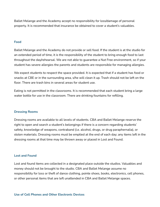Ballet Melange and the Academy accept no responsibility for loss/damage of personal property. It is recommended that insurance be obtained to cover a student's valuables.

#### **Food**

Ballet Melange and the Academy do not provide or sell food. If the student is at the studio for an extended period of time, it is the responsibility of the student to bring enough food to last throughout the day/rehearsal. We are not able to guarantee a Nut Free environment, so if your student has severe allergies the parents and students are responsible for managing allergies.

We expect students to respect the space provided. It is expected that if a student has food or snacks at CBE or in the surrounding area, s/he will clean it up. Trash should not be left on the floor. There are trash bins in several areas for student use.

Eating is not permitted in the classrooms. It is recommended that each student bring a large water bottle for use in the classroom. There are drinking fountains for refilling.

#### **Dressing Rooms**

Dressing rooms are available to all levels of students. CBA and Ballet Melange reserve the right to open and search a student's belongings if there is a concern regarding students' safety, knowledge of weapons, contraband (i.e. alcohol, drugs, or drug paraphernalia), or stolen materials. Dressing rooms must be emptied at the end of each day; any items left in the dressing rooms at that time may be thrown away or placed in Lost and Found.

#### **Lost and Found**

Lost and found items are collected in a designated place outside the studios. Valuables and money should not be brought to the studio. CBA and Ballet Melange assume no responsibility for loss or theft of dance clothing, pointe shoes, books, electronics, cell phones, or other personal items that are left unattended in CBA and Ballet Melange spaces.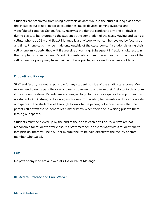Students are prohibited from using electronic devices while in the studio during class time; this includes but is not limited to cell phones, music devices, gaming systems, and video/digital cameras. School faculty reserves the right to confiscate any and all devices during class, to be returned to the student at the completion of the class. Having and using a cellular phone at CBA and Ballet Melange is a privilege, which can be revoked by faculty at any time. Phone calls may be made only outside of the classrooms. If a student is using their cell phone improperly, they will first receive a warning. Subsequent infractions will result in the completion of an Incident Report. Students who commit more than two infractions of the cell phone use policy may have their cell phone privileges revoked for a period of time.

## **Drop off and Pick up**

Staff and faculty are not responsible for any student outside of the studio classrooms. We recommend parents park their car and escort dancers to and from their first studio classroom if the student is alone. Parents are encouraged to go to the studio spaces to drop off and pick up students. CBA strongly discourages children from waiting for parents outdoors or outside our spaces. If the student is old enough to walk to the parking lot alone, we ask that the parent call or text the student to let him/her know when their ride is waiting prior to them leaving our spaces.

Students must be picked up by the end of their class each day. Faculty & staff are not responsible for students after class. If a Staff member is able to wait with a student due to late pick-up, there will be a \$1 per minute fine (to be paid directly to the faculty or staff member who waits).

#### **Pets**

No pets of any kind are allowed at CBA or Ballet Melange.

## **III. Medical Release and Care Waiver**

## **Medical Release**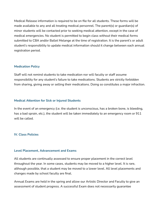Medical Release information is required to be on file for all students. These forms will be made available to any and all treating medical personnel. The parent(s) or guardian(s) of minor students will be contacted prior to seeking medical attention, except in the case of medical emergencies. No student is permitted to begin class without their medical forms submitted to CBA and/or Ballet Melange at the time of registration. It is the parent's or adult student's responsibility to update medical information should it change between each annual registration period.

### **Medication Policy**

Staff will not remind students to take medication nor will faculty or staff assume responsibility for any student's failure to take medications. Students are strictly forbidden from sharing, giving away or selling their medications. Doing so constitutes a major infraction.

### **Medical Attention for Sick or Injured Students**

In the event of an emergency (i.e. the student is unconscious, has a broken bone, is bleeding, has a bad sprain, etc.), the student will be taken immediately to an emergency room or 911 will be called.

## **IV. Class Policies**

### **Level Placement, Advancement and Exams**

All students are continually assessed to ensure proper placement in the correct level throughout the year. In some cases, students may be moved to a higher level. It is rare, although possible, that a student may be moved to a lower level. All level placements and changes made by school faculty are final.

Annual Exams are held in the spring and allow our Artistic Director and Faculty to give an assessment of student progress. A successful Exam does not necessarily guarantee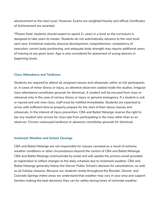advancement to the next Level. However, Exams are weighted heavily and official Certificates of Achievement are awarded.

\*Please Note: students should expect to spend 2+ years in a level as the curriculum is designed to take years to master. Students do not automatically advance to the next level each year. Emotional maturity, physical development, comprehension, competency of execution, correct body positioning, and adequate body strength may require additional years of training at any given level. Age is only considered for placement of young dancers in beginning levels.

#### **Class Attendance and Tardiness**

Students are required to attend all assigned classes and rehearsals, either as full participants or, in cases of minor illness or injury, as attentive observers seated inside the studios. Irregular class attendance constitutes grounds for dismissal. A student will be excused from class or rehearsal only in the case of serious illness or injury or genuine emergency. If a student is sick or injured and will miss class, staff must be notified immediately. Students are expected to arrive with sufficient time to properly prepare for the start of their dance classes and rehearsals. In the interest of injury prevention, CBA and Ballet Melange reserve the right to bar any student who arrives for class late from participating in the class other than as an observer. Chronic unexcused tardiness or absences constitutes grounds for dismissal.

#### **Inclement Weather and School Closings**

CBA and Ballet Melange are not responsible for classes canceled as a result of extreme weather conditions or other circumstances beyond the control of CBA and Ballet Melange. CBA and Ballet Melange communicate by email and will update the primary email provided at registration to reflect changes to the daily schedule due to inclement weather. CBA and Ballet Melange generally follow the Denver Public School's decision for cancellations, as well as all holiday closures. Because our students reside throughout the Boulder, Denver, and Colorado Springs metro areas we understand that weather may vary in your area and support families making the best decisions they can for safety during times of inclimate weather.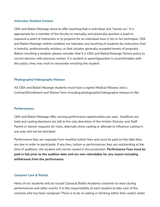#### **Instructor-Student Contact**

CBA and Ballet Melange strive to offer teaching that is individual and "hands-on." It is appropriate for a member of the faculty to manually and physically position a pupil to expound a point of instruction or to pinpoint for an individual flaw in his or her technique. CBA and Ballet Melange neither condone nor tolerates any touching of students by instructors that is harmful, professionally reckless, or that violates generally accepted tenets of propriety. Before enrolling a student, please consider that it is CBA and Ballet Melange School policy to correct dancers with physical contact. If a student or parent/guardian is uncomfortable with this policy, they may wish to reconsider enrolling the student.

### **Photography/Videography Release**

All CBA and Ballet Melange students must have a signed Medical Release and a Contract/Enrollment and Waiver form including photography/Videography release on file.

### **Performances**

CBA and Ballet Melange offer varying performance opportunities per year. Auditions are held and casting decisions are left to the sole discretion of the Artistic Director and Staff. Parent or dancer requests for roles, alternate show casting or attempt to influence casting in any way will not be tolerated.

Performance fees are separate from monthly tuition fees and must be paid on the date they are due in order to participate. If any fees, tuition or performances fees are outstanding at the time of auditions, the student will not be casted in the production. **Performance Fees must be paid in full prior to the audition date and are non-refundable for any reason including withdrawal from the performance.**

### **Costume Care & Rental**

Many of our students will be issued Classical Ballet Academy costumes to wear during performances and other events. It is the responsibility of each student to take care of the costume s/he has been assigned. There is to be no eating or drinking (other than water) while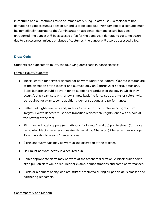in costume and all costumes must be immediately hung up after use.. Occasional minor damage to aging costumes does occur and is to be expected. Any damage to a costume must be immediately reported to the Administrator If accidental damage occurs but goes unreported, the dancer will be assessed a fee for the damage. If damage to costume occurs due to carelessness, misuse or abuse of costumes, the dancer will also be assessed a fee.

## **Dress Code**

Students are expected to follow the following dress code in dance classes:

## Female Ballet Students:

- Black Leotard (underwear should not be worn under the leotard); Colored leotards are at the discretion of the teacher and allowed only on Saturdays or special occasions. Black leotards should be worn for all auditions regardless of the day in which they occur. A black camisole with a low, simple back (no fancy straps, trims or colors) will be required for exams, some auditions, demonstrations and performances.
- Ballet pink tights (name brand, such as Capezio or Bloch please no tights from Target). Pointe dancers must have transition (convertible) tights (ones with a hole at the bottom of the foot).
- Pink canvas ballet slippers (with ribbons for Levels 1 and up) pointe shoes (for those on pointe), black character shoes (for those taking Character.) Character dancers aged 12 and up should wear 2" heeled shoes
- Skirts and warm ups may be worn at the discretion of the teacher.
- Hair must be worn neatly in a secured bun
- Ballet appropriate skirts may be worn at the teachers discretion. A black bullet point style pull on skirt will be required for exams, demonstrations and some performances.
- Skirts or bloomers of any kind are strictly prohibited during all pas de deux classes and partnering rehearsals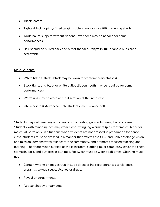- Black leotard
- Tights (black or pink,) fitted leggings, bloomers or close fitting running shorts
- Nude ballet slippers without ribbons, jazz shoes may be needed for some performances,
- Hair should be pulled back and out of the face. Ponytails, full briand o buns are all acceptable

# Male Students:

- White fitted t-shirts (black may be worn for contemporary classes)
- Black tights and black or white ballet slippers (both may be required for some performances)
- Warm ups may be worn at the discretion of the instructor
- Intermediate & Advanced male students: men's dance belt

Students may not wear any extraneous or concealing garments during ballet classes. Students with minor injuries may wear close-fitting leg warmers (pink for females, black for males) at barre only. In situations when students are not dressed in preparation for dance class, students must be dressed in a manner that reflects the CBA and Ballet Melange vision and mission, demonstrates respect for the community, and promotes focused teaching and learning. Therefore, when outside of the classroom, clothing must completely cover the chest, stomach, back, and buttocks at all times. Footwear must be worn at all times. Clothing must not:

- Contain writing or images that include direct or indirect references to violence, profanity, sexual issues, alcohol, or drugs.
- Reveal undergarments.
- Appear shabby or damaged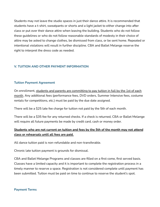Students may not leave the studio spaces in just their dance attire. It is recommended that students have a t-shirt, sweatpants or shorts and a light jacket to either change into after class or put over their dance attire when leaving the building. Students who do not follow these guidelines or who do not follow reasonable standards of modesty in their choice of attire may be asked to change clothes, be dismissed from class, or be sent home. Repeated or intentional violations will result in further discipline. CBA and Ballet Melange reserve the right to interpret the dress code as needed.

## **V. TUITION AND OTHER PAYMENT INFORMATION**

## **Tuition Payment Agreement**

On enrollment, students and parents are committing to pay tuition in full by the 1st of each month. Any additional fees (performance fees, DVD orders, Summer Intensive fees, costume rentals for competitions, etc.) must be paid by the due date assigned.

There will be a \$25 late fee charge for tuition not paid by the 5th of each month.

There will be a \$35 fee for any returned checks. If a check is returned, CBA or Ballet Melange will require all future payments be made by credit card, cash or money order.

# **Students who are not current on tuition and fees by the 5th of the month may not attend class or rehearsals until all fees are paid.**

All dance tuition paid is non-refundable and non-transferable.

Chronic late tuition payment is grounds for dismissal.

CBA and Ballet Melange Programs and classes are filled on a first come, first served basis. Classes have a limited capacity and it is important to complete the registration process in a timely manner to reserve a space. Registration is not considered complete until payment has been submitted. Tuition must be paid on time to continue to reserve the student's spot.

### **Payment Terms**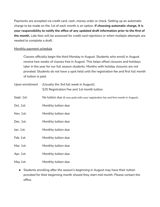Payments are accepted via credit card, cash, money order or check. Setting up an automatic charge to be made on the 1st of each month is an option. **If choosing automatic charge, It is your responsibility to notify the office of any updated draft information prior to the first of the month.** Late fees will be assessed for credit card rejections or when multiple attempts are needed to complete a draft.

## Monthly payment schedule

Classes officially begin the third Monday in August. Students who enroll in August receive two weeks of classes free in August. This helps offset closures and holidays later in the year for our full season students. Months with holiday closures are not prorated. Students do not have a spot held until the registration fee and first full month of tuition is paid.

| Upon enrollment | (Usually the 3rd full week in August):<br>\$25 Registration Fee and 1st month tuition. |
|-----------------|----------------------------------------------------------------------------------------|
| Sept. 1st:      | No tuition due (It was paid with your registration fee and first month in August)      |
| Oct. 1st:       | Monthly tuition due                                                                    |
| Nov. 1st:       | Monthly tuition due                                                                    |
| Dec. 1st:       | Monthly tuition due                                                                    |
| Jan. 1st:       | Monthly tuition due                                                                    |
| Feb. 1st:       | Monthly tuition due                                                                    |
| Mar. 1st:       | Monthly tuition due                                                                    |
| Apr. 1st:       | Monthly tuition due                                                                    |
| May 1st:        | Monthly tuition due                                                                    |

● Students enrolling after the season's beginning in August may have their tuition prorated for their beginning month should they start mid month. Please contact the office.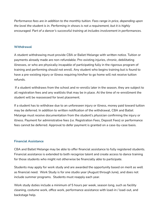*Performance fees are in addition to the monthly tuition. Fees range in price, depending upon the level the student is in. Performing in shows is not a requirement, but it is highly encouraged. Part of a dancer's successful training at includes involvement in performances.*

## **Withdrawal**

A student withdrawing must provide CBA or Ballet Melange with written notice. Tuition or payments already made are non-refundable. Pre-existing injuries, chronic, debilitating illnesses, or who are physically incapable of participating fully in the rigorous program of training and performing should not enroll. Any student who begins training but is found to have a pre-existing injury or illness requiring him/her to go home will not receive tuition refunds.

If a student withdraws from the school and re-enrolls later in the season, they are subject to all registration fees and any waitlists that may be in place. At the time of re-enrollment the student will be reassessed for level placement.

If a student has to withdraw due to an unforeseen injury or illness, money paid toward tuition may be deferred. In addition to written notification of the withdrawal, CBA and Ballet Melange must receive documentation from the student's *physician* confirming the injury or illness. Payment for administrative fees (i.e. Registration Fees, Deposit Fees) or performance fees cannot be deferred. Approval to defer payment is granted on a case-by-case basis.

### **Financial Assistance**

CBA and Ballet Melange may be able to offer financial assistance to fully registered students. Financial assistance is extended to both recognize talent and create access to dance training for those students who might not otherwise be financially able to participate.

Students may apply for work study and are awarded the opportunity based on merit as well as financial need. Work Study is for one studio year (August through June), and does not include summer programs. Students must reapply each year.

Work study duties include a minimum of 5 hours per week, season long, such as facility cleaning, costume work, office work, performance assistance with load-in / load-out, and backstage help.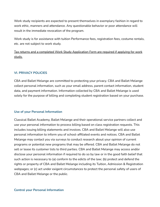Work study recipients are expected to present themselves in exemplary fashion in regard to work ethic, manners and attendance. Any questionable behavior or poor attendance will result in the immediate revocation of the program.

Work study is for assistance with tuition Performance fees, registration fees, costume rentals, etc. are not subject to work study.

Tax returns and a completed Work Study Application Form are required if applying for work study.

## **VI. PRIVACY POLICIES**

CBA and Ballet Melange are committed to protecting your privacy. CBA and Ballet Melange collect personal information, such as your email address, parent contact information, student data, and payment information. Information collected by CBA and Ballet Melange is used solely for the purpose of billing and completing student registration based on your purchase.

### **Use of your Personal Information**

Classical Ballet Academy, Ballet Melange and their operational service partners collect and use your personal information to process billing based on class registration requests. This includes issuing billing statements and invoices. CBA and Ballet Melange will also use personal information to inform you of school-affiliated events and notices. CBA and Ballet Melange may contact you via surveys to conduct research about your opinion of current programs or potential new programs that may be offered. CBA and Ballet Melange do not sell or lease its customer lists to third parties. CBA and Ballet Melange may access and/or disclose your personal information if required to do so by law or in the good faith belief that such action is necessary to (a) conform to the edicts of the law; (b) protect and defend the rights or property of CBA and Ballet Melange including its Tuition, Admission & Registration webpages; or (c) act under exigent circumstances to protect the personal safety of users of CBA and Ballet Melange or the public.

#### **Control your Personal Information**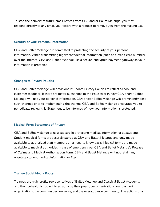To stop the delivery of future email notices from CBA and/or Ballet Melange, you may respond directly to any email you receive with a request to remove you from the mailing list.

#### **Security of your Personal Information**

CBA and Ballet Melange are committed to protecting the security of your personal information. When transmitting highly confidential information (such as a credit card number) over the Internet, CBA and Ballet Melange use a secure, encrypted payment gateway so your information is protected.

### **Changes to Privacy Policies**

CBA and Ballet Melange will occasionally update Privacy Policies to reflect School and customer feedback. If there are material changes to the Policies or in how CBA and/or Ballet Melange will use your personal information, CBA and/or Ballet Melange will prominently post such changes prior to implementing the change. CBA and Ballet Melange encourage you to periodically review this Statement to be informed of how your information is protected.

### **Medical Form Statement of Privacy**

CBA and Ballet Melange take great care in protecting medical information of all students. Student medical forms are securely stored at CBA and Ballet Melange and only made available to authorized staff members on a need to know basis. Medical forms are made available to medical authorities in case of emergency per CBA and Ballet Melange's Release of Claims and Medical Authorization Form. CBA and Ballet Melange will not retain any obsolete student medical information or files.

### **Trainee Social Media Policy**

Trainees are high-profile representatives of Ballet Melange and Classical Ballet Academy, and their behavior is subject to scrutiny by their peers, our organizations, our partnering organizations, the communities we serve, and the overall dance community. The actions of a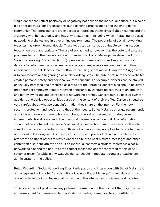single dancer can reflect positively or negatively not only on the individual dancer, but also on his or her teachers, our organizations, our partnering organizations and the entire dance community. Therefore, dancers are expected to represent themselves, Ballet Melange and the Academy with honor, dignity and integrity at all times – including when interacting on social networking websites and in other online environments. The popularity of social networking websites has grown tremendously. These websites can serve as valuable communication tools when used appropriately. The use of social media, however, has the potential to cause problems for both the dancers and our organizations. Ballet Melange has developed this Social Networking Policy in order to: (i) provide recommendations and suggestions for dancers to help them use social media in a safe and responsible manner; and (ii) outline important rules that dancers must follow when using social media. I. Important Suggestions & Recommendations Regarding Social Networking Sites. The public nature of these websites creates personal safety and personal welfare concerns. For example, dancers can be stalked or sexually harassed and assaulted as a result of their profiles. dancers also should be aware that potential employers regularly screen applicants by conducting searches of an applicant and by reviewing the applicant's social networking profiles. Dancers may be passed over for auditions and denied opportunities based on the content of their profiles. Dancers should be very careful about what personal information they share on the internet. For their own security, protection and welfare and that of their peers, Ballet Melange strongly recommends and advises dancers to: Keep phone numbers, physical addresses, birthdates, current whereabouts, travel plans and other personal information confidential. This information should not be contained in a dancer's personal online profile. Limit the access of others to e-mail addresses and carefully screen those who dancers may accept as friends or followers on a social networking site. Use whatever security and privacy features are available to restrict the ability of others to view a dancer's site or to post pictures, messages and other content on a student-athlete's site. If an individual contacts a student-athlete via a social networking site and the nature of the contact makes the dancer concerned for his or her safety or uncomfortable in any way, the dancer should immediately contact a teacher, an administrator or the police.

Rules Regarding Social Networking Sites Participation and interaction with Ballet Melange is a privilege and not a right. As a condition of being a Ballet Melange Trainee, dancers must abide by the following rules related to the use of the internet and social networking sites:

1. Dancers may not post online any pictures, information or other content that might cause embarrassment to themselves, fellow student-athletes, teams, coaches, the Athletics